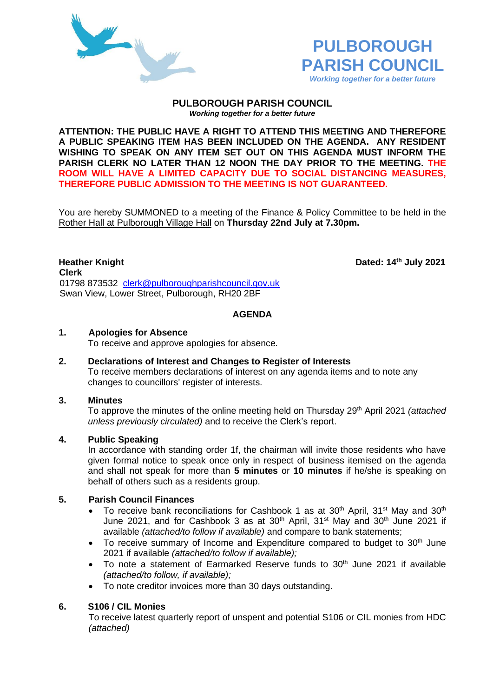



#### **PULBOROUGH PARISH COUNCIL** *Working together for a better future*

**ATTENTION: THE PUBLIC HAVE A RIGHT TO ATTEND THIS MEETING AND THEREFORE A PUBLIC SPEAKING ITEM HAS BEEN INCLUDED ON THE AGENDA. ANY RESIDENT WISHING TO SPEAK ON ANY ITEM SET OUT ON THIS AGENDA MUST INFORM THE PARISH CLERK NO LATER THAN 12 NOON THE DAY PRIOR TO THE MEETING. THE ROOM WILL HAVE A LIMITED CAPACITY DUE TO SOCIAL DISTANCING MEASURES, THEREFORE PUBLIC ADMISSION TO THE MEETING IS NOT GUARANTEED.**

You are hereby SUMMONED to a meeting of the Finance & Policy Committee to be held in the Rother Hall at Pulborough Village Hall on **Thursday 22nd July at 7.30pm.** 

**Heather Knight Dated: 14th July 2021 Clerk** 01798 873532 [clerk@pulboroughparishcouncil.gov.uk](mailto:clerk@pulboroughparishcouncil.gov.uk) Swan View, Lower Street, Pulborough, RH20 2BF

## **AGENDA**

#### **1. Apologies for Absence**

To receive and approve apologies for absence.

**2. Declarations of Interest and Changes to Register of Interests** To receive members declarations of interest on any agenda items and to note any changes to councillors' register of interests.

#### **3. Minutes**

To approve the minutes of the online meeting held on Thursday 29<sup>th</sup> April 2021 *(attached unless previously circulated)* and to receive the Clerk's report.

#### **4. Public Speaking**

In accordance with standing order 1f, the chairman will invite those residents who have given formal notice to speak once only in respect of business itemised on the agenda and shall not speak for more than **5 minutes** or **10 minutes** if he/she is speaking on behalf of others such as a residents group.

## **5. Parish Council Finances**

- To receive bank reconciliations for Cashbook 1 as at 30<sup>th</sup> April, 31<sup>st</sup> May and 30<sup>th</sup> June 2021, and for Cashbook 3 as at  $30<sup>th</sup>$  April,  $31<sup>st</sup>$  May and  $30<sup>th</sup>$  June 2021 if available *(attached/to follow if available)* and compare to bank statements;
- To receive summary of Income and Expenditure compared to budget to  $30<sup>th</sup>$  June 2021 if available *(attached/to follow if available);*
- To note a statement of Earmarked Reserve funds to  $30<sup>th</sup>$  June 2021 if available *(attached/to follow, if available);*
- To note creditor invoices more than 30 days outstanding.

## **6. S106 / CIL Monies**

To receive latest quarterly report of unspent and potential S106 or CIL monies from HDC *(attached)*